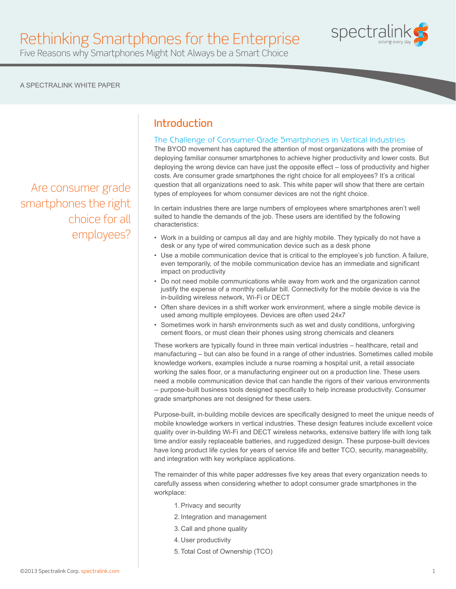

# Rethinking Smartphones for the Enterprise

Five Reasons why Smartphones Might Not Always be a Smart Choice

### A SPECTRALINK WHITE PAPER

Are consumer grade smartphones the right choice for all employees?

# Introduction

### The Challenge of Consumer-Grade Smartphones in Vertical Industries

The BYOD movement has captured the attention of most organizations with the promise of deploying familiar consumer smartphones to achieve higher productivity and lower costs. But deploying the wrong device can have just the opposite effect – loss of productivity and higher costs. Are consumer grade smartphones the right choice for all employees? It's a critical question that all organizations need to ask. This white paper will show that there are certain types of employees for whom consumer devices are not the right choice.

In certain industries there are large numbers of employees where smartphones aren't well suited to handle the demands of the job. These users are identified by the following characteristics:

- Work in a building or campus all day and are highly mobile. They typically do not have a desk or any type of wired communication device such as a desk phone
- Use a mobile communication device that is critical to the employee's job function. A failure, even temporarily, of the mobile communication device has an immediate and significant impact on productivity
- Do not need mobile communications while away from work and the organization cannot justify the expense of a monthly cellular bill. Connectivity for the mobile device is via the in-building wireless network, Wi-Fi or DECT
- Often share devices in a shift worker work environment, where a single mobile device is used among multiple employees. Devices are often used 24x7
- Sometimes work in harsh environments such as wet and dusty conditions, unforgiving cement floors, or must clean their phones using strong chemicals and cleaners

These workers are typically found in three main vertical industries – healthcare, retail and manufacturing – but can also be found in a range of other industries. Sometimes called mobile knowledge workers, examples include a nurse roaming a hospital unit, a retail associate working the sales floor, or a manufacturing engineer out on a production line. These users need a mobile communication device that can handle the rigors of their various environments -- purpose-built business tools designed specifically to help increase productivity. Consumer grade smartphones are not designed for these users.

Purpose-built, in-building mobile devices are specifically designed to meet the unique needs of mobile knowledge workers in vertical industries. These design features include excellent voice quality over in-building Wi-Fi and DECT wireless networks, extensive battery life with long talk time and/or easily replaceable batteries, and ruggedized design. These purpose-built devices have long product life cycles for years of service life and better TCO, security, manageability, and integration with key workplace applications.

The remainder of this white paper addresses five key areas that every organization needs to carefully assess when considering whether to adopt consumer grade smartphones in the workplace:

- 1.Privacy and security
- 2. Integration and management
- 3. Call and phone quality
- 4. User productivity
- 5. Total Cost of Ownership (TCO)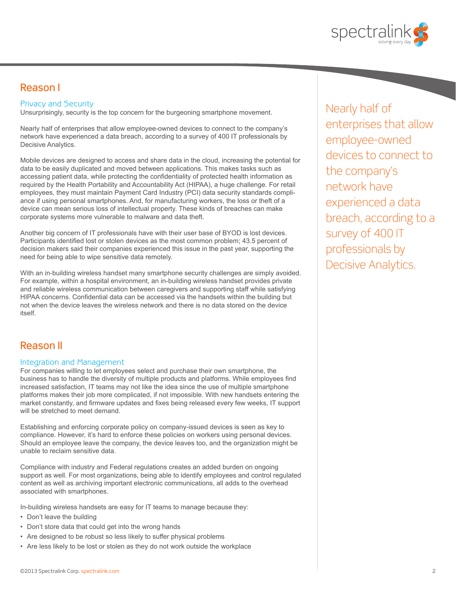

# Reason I

### Privacy and Security

Unsurprisingly, security is the top concern for the burgeoning smartphone movement.

Nearly half of enterprises that allow employee-owned devices to connect to the company's network have experienced a data breach, according to a survey of 400 IT professionals by Decisive Analytics.

Mobile devices are designed to access and share data in the cloud, increasing the potential for data to be easily duplicated and moved between applications. This makes tasks such as accessing patient data, while protecting the confidentiality of protected health information as required by the Health Portability and Accountability Act (HIPAA), a huge challenge. For retail employees, they must maintain Payment Card Industry (PCI) data security standards compliance if using personal smartphones. And, for manufacturing workers, the loss or theft of a device can mean serious loss of intellectual property. These kinds of breaches can make corporate systems more vulnerable to malware and data theft.

Another big concern of IT professionals have with their user base of BYOD is lost devices. Participants identified lost or stolen devices as the most common problem; 43.5 percent of decision makers said their companies experienced this issue in the past year, supporting the need for being able to wipe sensitive data remotely.

With an in-building wireless handset many smartphone security challenges are simply avoided. For example, within a hospital environment, an in-building wireless handset provides private and reliable wireless communication between caregivers and supporting staff while satisfying HIPAA concerns. Confidential data can be accessed via the handsets within the building but not when the device leaves the wireless network and there is no data stored on the device itself.

### Reason II

#### Integration and Management

For companies willing to let employees select and purchase their own smartphone, the business has to handle the diversity of multiple products and platforms. While employees find increased satisfaction, IT teams may not like the idea since the use of multiple smartphone platforms makes their job more complicated, if not impossible. With new handsets entering the market constantly, and firmware updates and fixes being released every few weeks, IT support will be stretched to meet demand.

Establishing and enforcing corporate policy on company-issued devices is seen as key to compliance. However, it's hard to enforce these policies on workers using personal devices. Should an employee leave the company, the device leaves too, and the organization might be unable to reclaim sensitive data.

Compliance with industry and Federal regulations creates an added burden on ongoing support as well. For most organizations, being able to identify employees and control regulated content as well as archiving important electronic communications, all adds to the overhead associated with smartphones.

In-building wireless handsets are easy for IT teams to manage because they:

- Don't leave the building
- Don't store data that could get into the wrong hands
- Are designed to be robust so less likely to suffer physical problems
- Are less likely to be lost or stolen as they do not work outside the workplace

Nearly half of enterprises that allow employee-owned devices to connect to the company's network have experienced a data breach, according to a survey of 400 IT professionals by Decisive Analytics.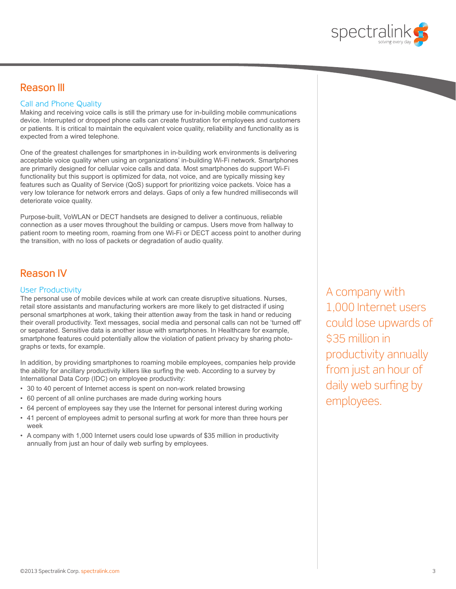

### Reason III

### Call and Phone Quality

Making and receiving voice calls is still the primary use for in-building mobile communications device. Interrupted or dropped phone calls can create frustration for employees and customers or patients. It is critical to maintain the equivalent voice quality, reliability and functionality as is expected from a wired telephone.

One of the greatest challenges for smartphones in in-building work environments is delivering acceptable voice quality when using an organizations' in-building Wi-Fi network. Smartphones are primarily designed for cellular voice calls and data. Most smartphones do support Wi-Fi functionality but this support is optimized for data, not voice, and are typically missing key features such as Quality of Service (QoS) support for prioritizing voice packets. Voice has a very low tolerance for network errors and delays. Gaps of only a few hundred milliseconds will deteriorate voice quality.

Purpose-built, VoWLAN or DECT handsets are designed to deliver a continuous, reliable connection as a user moves throughout the building or campus. Users move from hallway to patient room to meeting room, roaming from one Wi-Fi or DECT access point to another during the transition, with no loss of packets or degradation of audio quality.

# Reason IV

### User Productivity

The personal use of mobile devices while at work can create disruptive situations. Nurses, retail store assistants and manufacturing workers are more likely to get distracted if using personal smartphones at work, taking their attention away from the task in hand or reducing their overall productivity. Text messages, social media and personal calls can not be 'turned off' or separated. Sensitive data is another issue with smartphones. In Healthcare for example, smartphone features could potentially allow the violation of patient privacy by sharing photographs or texts, for example.

In addition, by providing smartphones to roaming mobile employees, companies help provide the ability for ancillary productivity killers like surfing the web. According to a survey by International Data Corp (IDC) on employee productivity:

- 30 to 40 percent of Internet access is spent on non-work related browsing
- 60 percent of all online purchases are made during working hours
- 64 percent of employees say they use the Internet for personal interest during working
- 41 percent of employees admit to personal surfing at work for more than three hours per week
- A company with 1,000 Internet users could lose upwards of \$35 million in productivity annually from just an hour of daily web surfing by employees.

A company with 1,000 Internet users could lose upwards of \$35 million in productivity annually from just an hour of daily web surfing by employees.